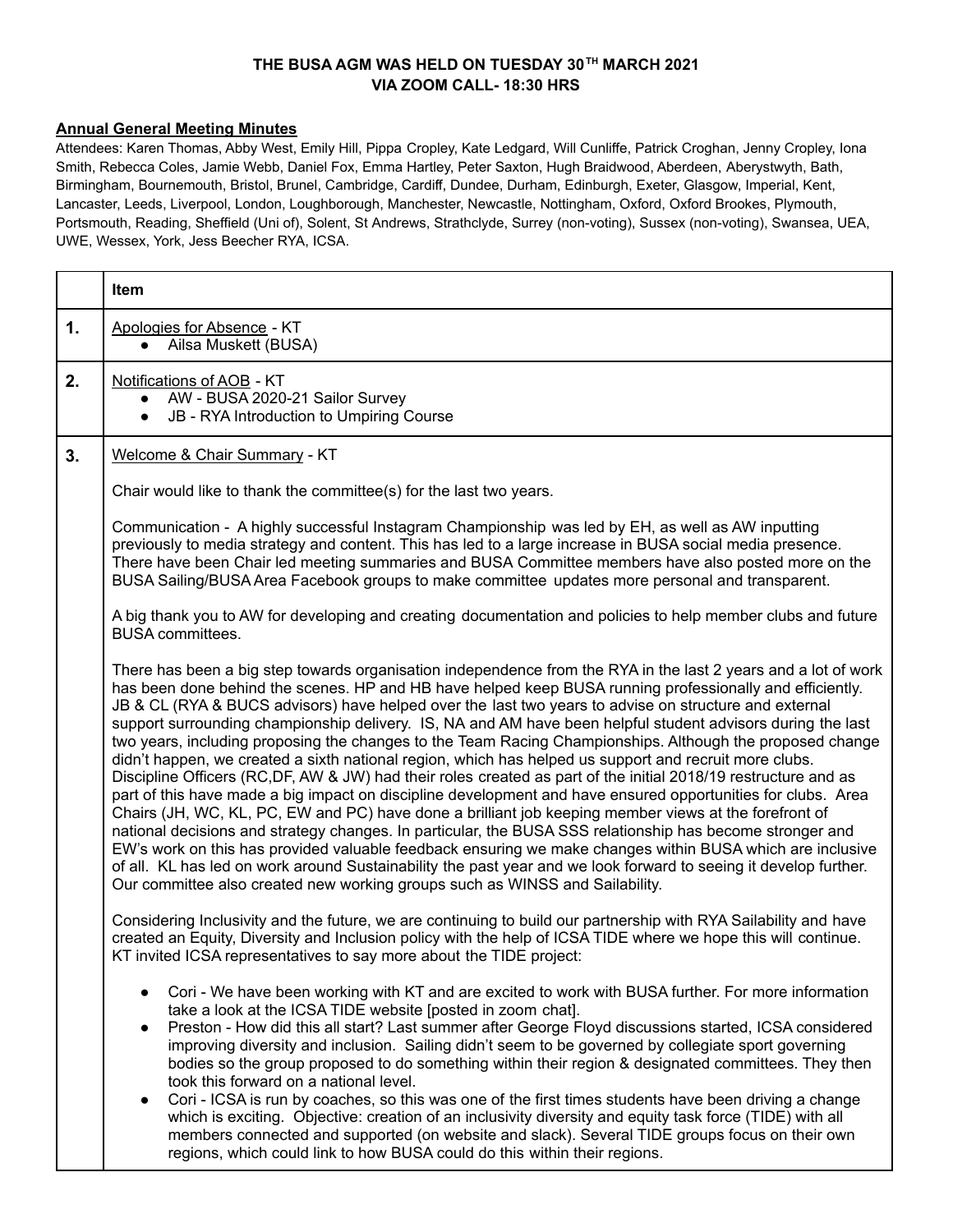# **THE BUSA AGM WAS HELD ON TUESDAY 30 TH MARCH 2021 VIA ZOOM CALL- 18:30 HRS**

## **Annual General Meeting Minutes**

Attendees: Karen Thomas, Abby West, Emily Hill, Pippa Cropley, Kate Ledgard, Will Cunliffe, Patrick Croghan, Jenny Cropley, Iona Smith, Rebecca Coles, Jamie Webb, Daniel Fox, Emma Hartley, Peter Saxton, Hugh Braidwood, Aberdeen, Aberystwyth, Bath, Birmingham, Bournemouth, Bristol, Brunel, Cambridge, Cardiff, Dundee, Durham, Edinburgh, Exeter, Glasgow, Imperial, Kent, Lancaster, Leeds, Liverpool, London, Loughborough, Manchester, Newcastle, Nottingham, Oxford, Oxford Brookes, Plymouth, Portsmouth, Reading, Sheffield (Uni of), Solent, St Andrews, Strathclyde, Surrey (non-voting), Sussex (non-voting), Swansea, UEA, UWE, Wessex, York, Jess Beecher RYA, ICSA.

|    | Item                                                                                                                                                                                                                                                                                                                                                                                                                                                                                                                                                                                                                                                                                                                                                                                                                                                                                                                                                                                                                                                                                                                                                                                                                                                                                                                                                                                                                                               |
|----|----------------------------------------------------------------------------------------------------------------------------------------------------------------------------------------------------------------------------------------------------------------------------------------------------------------------------------------------------------------------------------------------------------------------------------------------------------------------------------------------------------------------------------------------------------------------------------------------------------------------------------------------------------------------------------------------------------------------------------------------------------------------------------------------------------------------------------------------------------------------------------------------------------------------------------------------------------------------------------------------------------------------------------------------------------------------------------------------------------------------------------------------------------------------------------------------------------------------------------------------------------------------------------------------------------------------------------------------------------------------------------------------------------------------------------------------------|
| 1. | Apologies for Absence - KT<br>Ailsa Muskett (BUSA)<br>$\bullet$                                                                                                                                                                                                                                                                                                                                                                                                                                                                                                                                                                                                                                                                                                                                                                                                                                                                                                                                                                                                                                                                                                                                                                                                                                                                                                                                                                                    |
| 2. | Notifications of AOB - KT<br>• AW - BUSA 2020-21 Sailor Survey<br>JB - RYA Introduction to Umpiring Course<br>$\bullet$                                                                                                                                                                                                                                                                                                                                                                                                                                                                                                                                                                                                                                                                                                                                                                                                                                                                                                                                                                                                                                                                                                                                                                                                                                                                                                                            |
| 3. | Welcome & Chair Summary - KT                                                                                                                                                                                                                                                                                                                                                                                                                                                                                                                                                                                                                                                                                                                                                                                                                                                                                                                                                                                                                                                                                                                                                                                                                                                                                                                                                                                                                       |
|    | Chair would like to thank the committee(s) for the last two years.                                                                                                                                                                                                                                                                                                                                                                                                                                                                                                                                                                                                                                                                                                                                                                                                                                                                                                                                                                                                                                                                                                                                                                                                                                                                                                                                                                                 |
|    | Communication - A highly successful Instagram Championship was led by EH, as well as AW inputting<br>previously to media strategy and content. This has led to a large increase in BUSA social media presence.<br>There have been Chair led meeting summaries and BUSA Committee members have also posted more on the<br>BUSA Sailing/BUSA Area Facebook groups to make committee updates more personal and transparent.                                                                                                                                                                                                                                                                                                                                                                                                                                                                                                                                                                                                                                                                                                                                                                                                                                                                                                                                                                                                                           |
|    | A big thank you to AW for developing and creating documentation and policies to help member clubs and future<br><b>BUSA</b> committees.                                                                                                                                                                                                                                                                                                                                                                                                                                                                                                                                                                                                                                                                                                                                                                                                                                                                                                                                                                                                                                                                                                                                                                                                                                                                                                            |
|    | There has been a big step towards organisation independence from the RYA in the last 2 years and a lot of work<br>has been done behind the scenes. HP and HB have helped keep BUSA running professionally and efficiently.<br>JB & CL (RYA & BUCS advisors) have helped over the last two years to advise on structure and external<br>support surrounding championship delivery. IS, NA and AM have been helpful student advisors during the last<br>two years, including proposing the changes to the Team Racing Championships. Although the proposed change<br>didn't happen, we created a sixth national region, which has helped us support and recruit more clubs.<br>Discipline Officers (RC,DF, AW & JW) had their roles created as part of the initial 2018/19 restructure and as<br>part of this have made a big impact on discipline development and have ensured opportunities for clubs. Area<br>Chairs (JH, WC, KL, PC, EW and PC) have done a brilliant job keeping member views at the forefront of<br>national decisions and strategy changes. In particular, the BUSA SSS relationship has become stronger and<br>EW's work on this has provided valuable feedback ensuring we make changes within BUSA which are inclusive<br>of all. KL has led on work around Sustainability the past year and we look forward to seeing it develop further.<br>Our committee also created new working groups such as WINSS and Sailability. |
|    | Considering Inclusivity and the future, we are continuing to build our partnership with RYA Sailability and have<br>created an Equity, Diversity and Inclusion policy with the help of ICSA TIDE where we hope this will continue.<br>KT invited ICSA representatives to say more about the TIDE project:                                                                                                                                                                                                                                                                                                                                                                                                                                                                                                                                                                                                                                                                                                                                                                                                                                                                                                                                                                                                                                                                                                                                          |
|    | Cori - We have been working with KT and are excited to work with BUSA further. For more information<br>take a look at the ICSA TIDE website [posted in zoom chat].<br>Preston - How did this all start? Last summer after George Floyd discussions started, ICSA considered<br>$\bullet$<br>improving diversity and inclusion. Sailing didn't seem to be governed by collegiate sport governing<br>bodies so the group proposed to do something within their region & designated committees. They then<br>took this forward on a national level.<br>Cori - ICSA is run by coaches, so this was one of the first times students have been driving a change<br>which is exciting. Objective: creation of an inclusivity diversity and equity task force (TIDE) with all<br>members connected and supported (on website and slack). Several TIDE groups focus on their own<br>regions, which could link to how BUSA could do this within their regions.                                                                                                                                                                                                                                                                                                                                                                                                                                                                                               |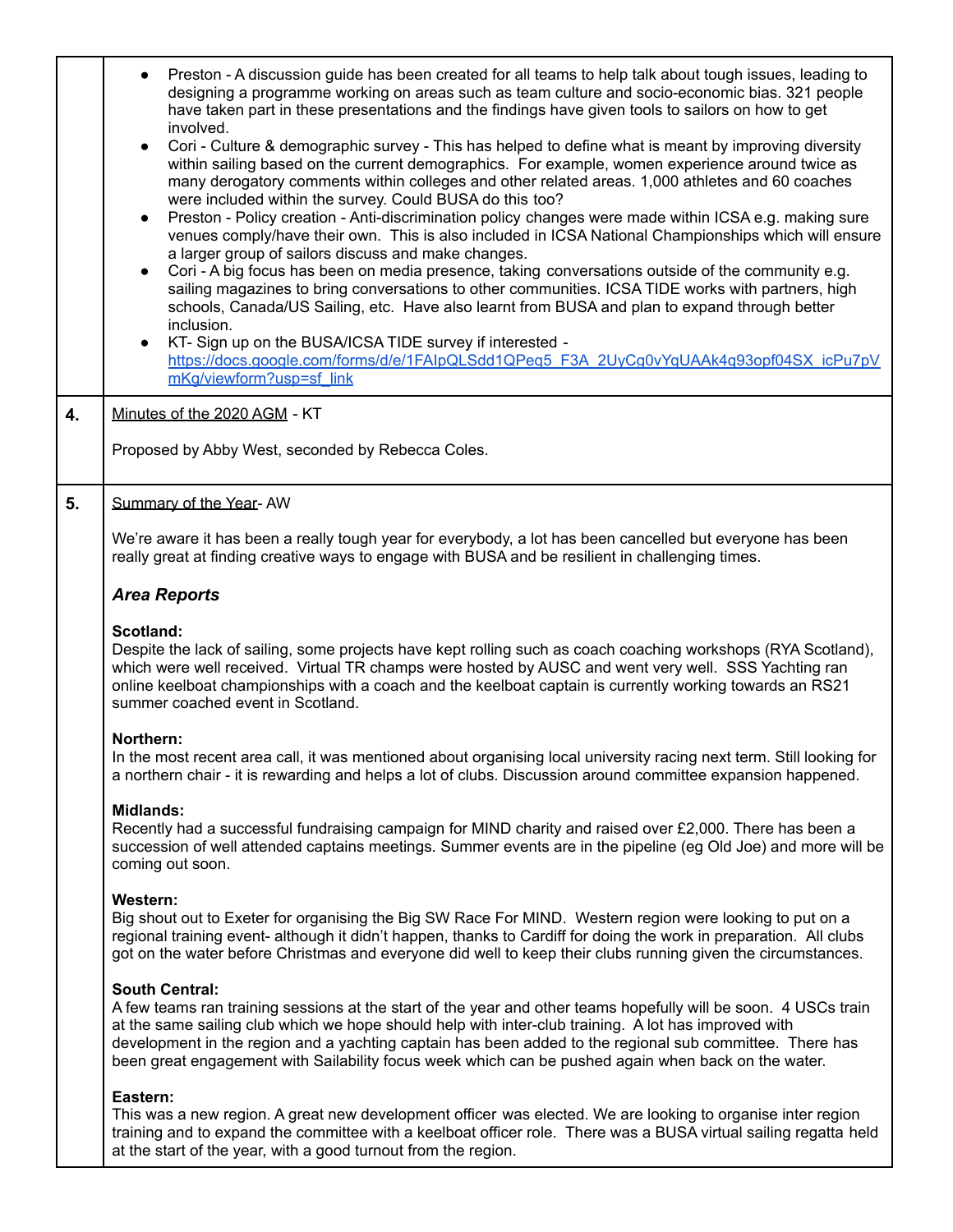|    | Preston - A discussion guide has been created for all teams to help talk about tough issues, leading to<br>designing a programme working on areas such as team culture and socio-economic bias. 321 people<br>have taken part in these presentations and the findings have given tools to sailors on how to get<br>involved.                                                                                                                                                                              |
|----|-----------------------------------------------------------------------------------------------------------------------------------------------------------------------------------------------------------------------------------------------------------------------------------------------------------------------------------------------------------------------------------------------------------------------------------------------------------------------------------------------------------|
|    | Cori - Culture & demographic survey - This has helped to define what is meant by improving diversity<br>$\bullet$<br>within sailing based on the current demographics. For example, women experience around twice as<br>many derogatory comments within colleges and other related areas. 1,000 athletes and 60 coaches<br>were included within the survey. Could BUSA do this too?                                                                                                                       |
|    | Preston - Policy creation - Anti-discrimination policy changes were made within ICSA e.g. making sure<br>$\bullet$<br>venues comply/have their own. This is also included in ICSA National Championships which will ensure<br>a larger group of sailors discuss and make changes.<br>Cori - A big focus has been on media presence, taking conversations outside of the community e.g.<br>$\bullet$<br>sailing magazines to bring conversations to other communities. ICSA TIDE works with partners, high |
|    | schools, Canada/US Sailing, etc. Have also learnt from BUSA and plan to expand through better<br>inclusion.<br>KT-Sign up on the BUSA/ICSA TIDE survey if interested -<br>$\bullet$<br>https://docs.google.com/forms/d/e/1FAIpQLSdd1QPeg5_F3A_2UyCg0vYqUAAk4q93opf04SX_icPu7pV<br>mKg/viewform?usp=sf_link                                                                                                                                                                                                |
| 4. | Minutes of the 2020 AGM - KT                                                                                                                                                                                                                                                                                                                                                                                                                                                                              |
|    | Proposed by Abby West, seconded by Rebecca Coles.                                                                                                                                                                                                                                                                                                                                                                                                                                                         |
| 5. | Summary of the Year-AW                                                                                                                                                                                                                                                                                                                                                                                                                                                                                    |
|    | We're aware it has been a really tough year for everybody, a lot has been cancelled but everyone has been<br>really great at finding creative ways to engage with BUSA and be resilient in challenging times.                                                                                                                                                                                                                                                                                             |
|    | <b>Area Reports</b>                                                                                                                                                                                                                                                                                                                                                                                                                                                                                       |
|    | Scotland:<br>Despite the lack of sailing, some projects have kept rolling such as coach coaching workshops (RYA Scotland),<br>which were well received. Virtual TR champs were hosted by AUSC and went very well. SSS Yachting ran<br>online keelboat championships with a coach and the keelboat captain is currently working towards an RS21<br>summer coached event in Scotland.                                                                                                                       |
|    | Northern:<br>In the most recent area call, it was mentioned about organising local university racing next term. Still looking for<br>a northern chair - it is rewarding and helps a lot of clubs. Discussion around committee expansion happened.                                                                                                                                                                                                                                                         |
|    | <b>Midlands:</b><br>Recently had a successful fundraising campaign for MIND charity and raised over £2,000. There has been a<br>succession of well attended captains meetings. Summer events are in the pipeline (eg Old Joe) and more will be<br>coming out soon.                                                                                                                                                                                                                                        |
|    | Western:<br>Big shout out to Exeter for organising the Big SW Race For MIND. Western region were looking to put on a<br>regional training event- although it didn't happen, thanks to Cardiff for doing the work in preparation. All clubs<br>got on the water before Christmas and everyone did well to keep their clubs running given the circumstances.                                                                                                                                                |
|    | <b>South Central:</b><br>A few teams ran training sessions at the start of the year and other teams hopefully will be soon. 4 USCs train<br>at the same sailing club which we hope should help with inter-club training. A lot has improved with<br>development in the region and a yachting captain has been added to the regional sub committee. There has<br>been great engagement with Sailability focus week which can be pushed again when back on the water.                                       |
|    | Eastern:<br>This was a new region. A great new development officer was elected. We are looking to organise inter region<br>training and to expand the committee with a keelboat officer role. There was a BUSA virtual sailing regatta held<br>at the start of the year, with a good turnout from the region.                                                                                                                                                                                             |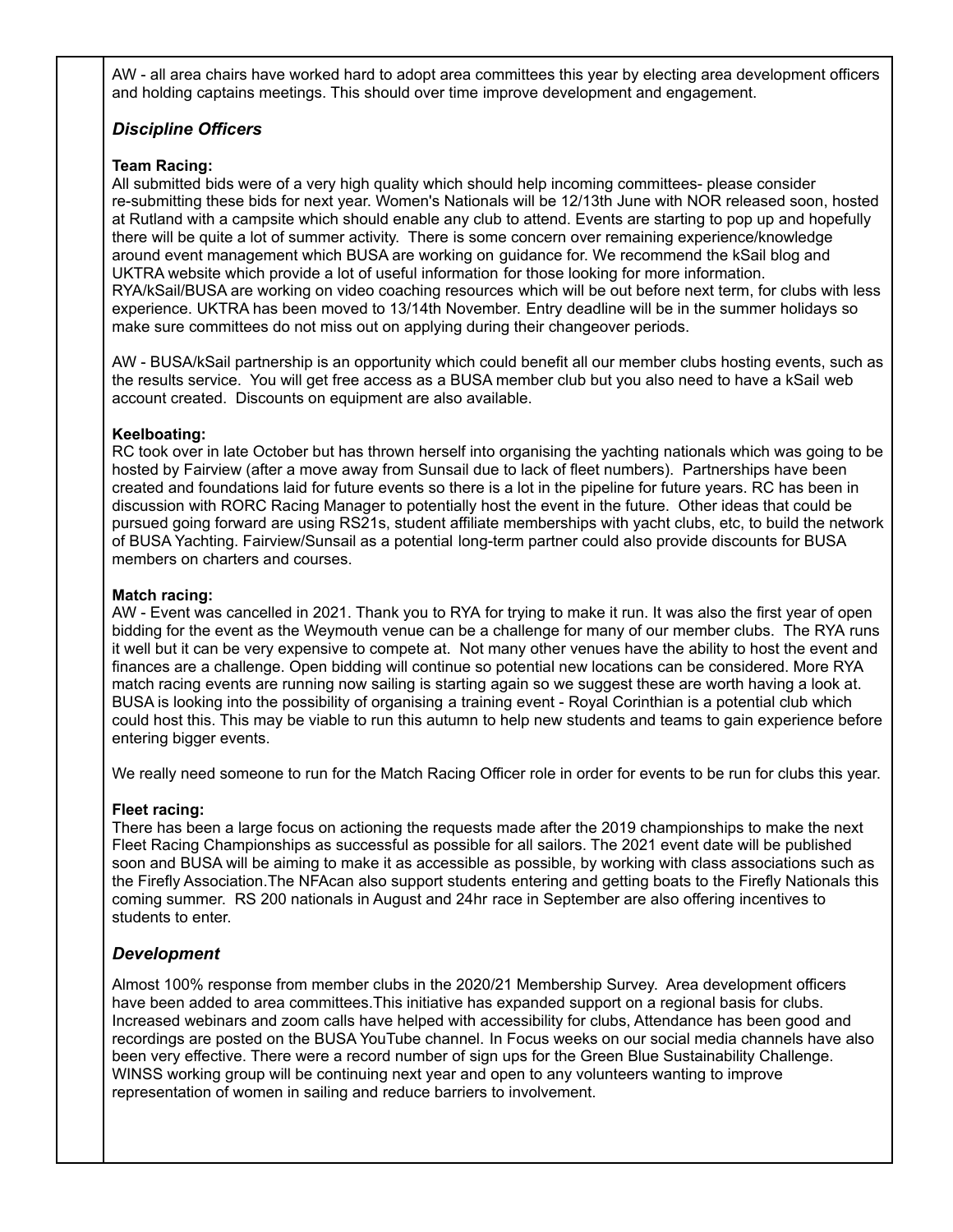AW - all area chairs have worked hard to adopt area committees this year by electing area development officers and holding captains meetings. This should over time improve development and engagement.

# *Discipline Officers*

### **Team Racing:**

All submitted bids were of a very high quality which should help incoming committees- please consider re-submitting these bids for next year. Women's Nationals will be 12/13th June with NOR released soon, hosted at Rutland with a campsite which should enable any club to attend. Events are starting to pop up and hopefully there will be quite a lot of summer activity. There is some concern over remaining experience/knowledge around event management which BUSA are working on guidance for. We recommend the kSail blog and UKTRA website which provide a lot of useful information for those looking for more information. RYA/kSail/BUSA are working on video coaching resources which will be out before next term, for clubs with less experience. UKTRA has been moved to 13/14th November. Entry deadline will be in the summer holidays so make sure committees do not miss out on applying during their changeover periods.

AW - BUSA/kSail partnership is an opportunity which could benefit all our member clubs hosting events, such as the results service. You will get free access as a BUSA member club but you also need to have a kSail web account created. Discounts on equipment are also available.

#### **Keelboating:**

RC took over in late October but has thrown herself into organising the yachting nationals which was going to be hosted by Fairview (after a move away from Sunsail due to lack of fleet numbers). Partnerships have been created and foundations laid for future events so there is a lot in the pipeline for future years. RC has been in discussion with RORC Racing Manager to potentially host the event in the future. Other ideas that could be pursued going forward are using RS21s, student affiliate memberships with yacht clubs, etc, to build the network of BUSA Yachting. Fairview/Sunsail as a potential long-term partner could also provide discounts for BUSA members on charters and courses.

#### **Match racing:**

AW - Event was cancelled in 2021. Thank you to RYA for trying to make it run. It was also the first year of open bidding for the event as the Weymouth venue can be a challenge for many of our member clubs. The RYA runs it well but it can be very expensive to compete at. Not many other venues have the ability to host the event and finances are a challenge. Open bidding will continue so potential new locations can be considered. More RYA match racing events are running now sailing is starting again so we suggest these are worth having a look at. BUSA is looking into the possibility of organising a training event - Royal Corinthian is a potential club which could host this. This may be viable to run this autumn to help new students and teams to gain experience before entering bigger events.

We really need someone to run for the Match Racing Officer role in order for events to be run for clubs this year.

#### **Fleet racing:**

There has been a large focus on actioning the requests made after the 2019 championships to make the next Fleet Racing Championships as successful as possible for all sailors. The 2021 event date will be published soon and BUSA will be aiming to make it as accessible as possible, by working with class associations such as the Firefly Association.The NFAcan also support students entering and getting boats to the Firefly Nationals this coming summer. RS 200 nationals in August and 24hr race in September are also offering incentives to students to enter.

### *Development*

Almost 100% response from member clubs in the 2020/21 Membership Survey. Area development officers have been added to area committees.This initiative has expanded support on a regional basis for clubs. Increased webinars and zoom calls have helped with accessibility for clubs, Attendance has been good and recordings are posted on the BUSA YouTube channel. In Focus weeks on our social media channels have also been very effective. There were a record number of sign ups for the Green Blue Sustainability Challenge. WINSS working group will be continuing next year and open to any volunteers wanting to improve representation of women in sailing and reduce barriers to involvement.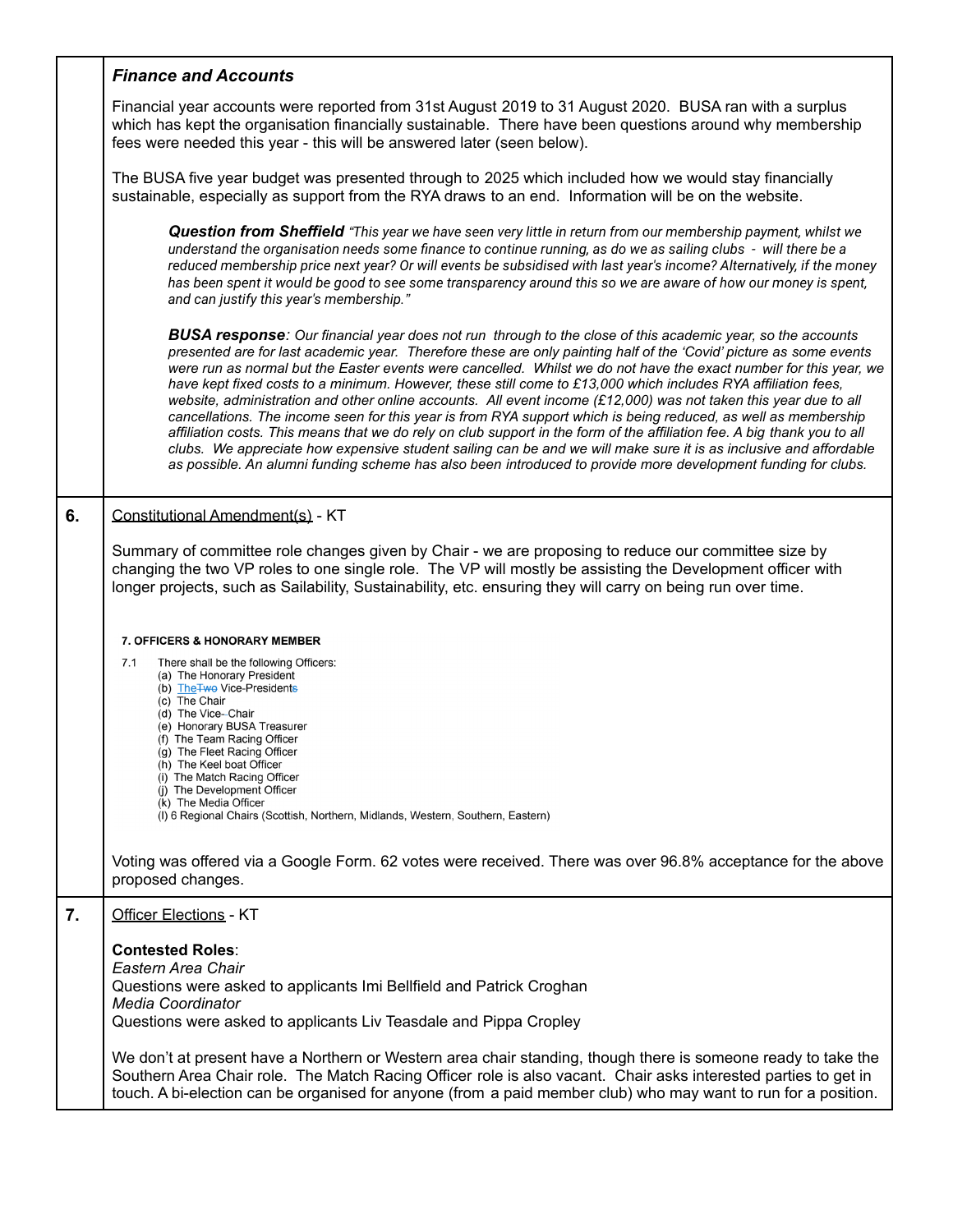|    | <b>Finance and Accounts</b>                                                                                                                                                                                                                                                                                                                                                                                                                                                                                                                                                                                                                                                                                                                                                                                                                                                                                                                                                                                                                                                            |
|----|----------------------------------------------------------------------------------------------------------------------------------------------------------------------------------------------------------------------------------------------------------------------------------------------------------------------------------------------------------------------------------------------------------------------------------------------------------------------------------------------------------------------------------------------------------------------------------------------------------------------------------------------------------------------------------------------------------------------------------------------------------------------------------------------------------------------------------------------------------------------------------------------------------------------------------------------------------------------------------------------------------------------------------------------------------------------------------------|
|    | Financial year accounts were reported from 31st August 2019 to 31 August 2020. BUSA ran with a surplus<br>which has kept the organisation financially sustainable. There have been questions around why membership<br>fees were needed this year - this will be answered later (seen below).                                                                                                                                                                                                                                                                                                                                                                                                                                                                                                                                                                                                                                                                                                                                                                                           |
|    | The BUSA five year budget was presented through to 2025 which included how we would stay financially<br>sustainable, especially as support from the RYA draws to an end. Information will be on the website.                                                                                                                                                                                                                                                                                                                                                                                                                                                                                                                                                                                                                                                                                                                                                                                                                                                                           |
|    | <b>Question from Sheffield</b> "This year we have seen very little in return from our membership payment, whilst we<br>understand the organisation needs some finance to continue running, as do we as sailing clubs - will there be a<br>reduced membership price next year? Or will events be subsidised with last year's income? Alternatively, if the money<br>has been spent it would be good to see some transparency around this so we are aware of how our money is spent,<br>and can justify this year's membership."                                                                                                                                                                                                                                                                                                                                                                                                                                                                                                                                                         |
|    | <b>BUSA response</b> : Our financial year does not run through to the close of this academic year, so the accounts<br>presented are for last academic year. Therefore these are only painting half of the 'Covid' picture as some events<br>were run as normal but the Easter events were cancelled. Whilst we do not have the exact number for this year, we<br>have kept fixed costs to a minimum. However, these still come to £13,000 which includes RYA affiliation fees,<br>website, administration and other online accounts. All event income (£12,000) was not taken this year due to all<br>cancellations. The income seen for this year is from RYA support which is being reduced, as well as membership<br>affiliation costs. This means that we do rely on club support in the form of the affiliation fee. A big thank you to all<br>clubs. We appreciate how expensive student sailing can be and we will make sure it is as inclusive and affordable<br>as possible. An alumni funding scheme has also been introduced to provide more development funding for clubs. |
| 6. | Constitutional Amendment(s) - KT                                                                                                                                                                                                                                                                                                                                                                                                                                                                                                                                                                                                                                                                                                                                                                                                                                                                                                                                                                                                                                                       |
|    | Summary of committee role changes given by Chair - we are proposing to reduce our committee size by<br>changing the two VP roles to one single role. The VP will mostly be assisting the Development officer with<br>longer projects, such as Sailability, Sustainability, etc. ensuring they will carry on being run over time.                                                                                                                                                                                                                                                                                                                                                                                                                                                                                                                                                                                                                                                                                                                                                       |
|    | <b>7. OFFICERS &amp; HONORARY MEMBER</b>                                                                                                                                                                                                                                                                                                                                                                                                                                                                                                                                                                                                                                                                                                                                                                                                                                                                                                                                                                                                                                               |
|    | 7.1<br>There shall be the following Officers:<br>(a) The Honorary President<br>(b) The Two Vice-Presidents<br>(c) The Chair<br>(d) The Vice--Chair<br>(e) Honorary BUSA Treasurer<br>(f) The Team Racing Officer<br>(g) The Fleet Racing Officer<br>(h) The Keel boat Officer<br>(i) The Match Racing Officer<br>(j) The Development Officer<br>(k) The Media Officer<br>(I) 6 Regional Chairs (Scottish, Northern, Midlands, Western, Southern, Eastern)                                                                                                                                                                                                                                                                                                                                                                                                                                                                                                                                                                                                                              |
|    | Voting was offered via a Google Form. 62 votes were received. There was over 96.8% acceptance for the above<br>proposed changes.                                                                                                                                                                                                                                                                                                                                                                                                                                                                                                                                                                                                                                                                                                                                                                                                                                                                                                                                                       |
| 7. | Officer Elections - KT                                                                                                                                                                                                                                                                                                                                                                                                                                                                                                                                                                                                                                                                                                                                                                                                                                                                                                                                                                                                                                                                 |
|    | <b>Contested Roles:</b><br>Eastern Area Chair<br>Questions were asked to applicants Imi Bellfield and Patrick Croghan<br><b>Media Coordinator</b><br>Questions were asked to applicants Liv Teasdale and Pippa Cropley                                                                                                                                                                                                                                                                                                                                                                                                                                                                                                                                                                                                                                                                                                                                                                                                                                                                 |
|    | We don't at present have a Northern or Western area chair standing, though there is someone ready to take the<br>Southern Area Chair role. The Match Racing Officer role is also vacant. Chair asks interested parties to get in<br>touch. A bi-election can be organised for anyone (from a paid member club) who may want to run for a position.                                                                                                                                                                                                                                                                                                                                                                                                                                                                                                                                                                                                                                                                                                                                     |